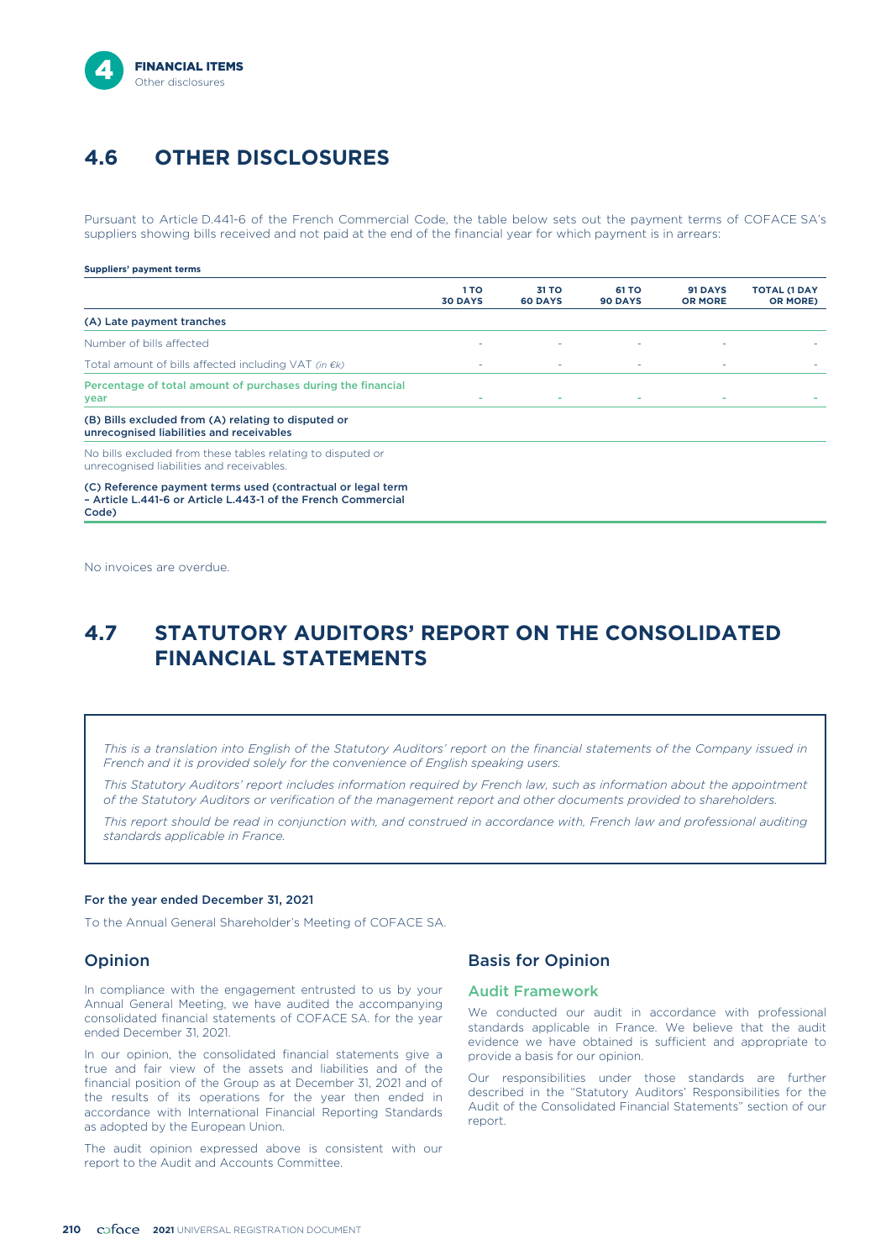

# **4.6 OTHER DISCLOSURES**

Pursuant to Article D.441-6 of the French Commercial Code, the table below sets out the payment terms of COFACE SA's suppliers showing bills received and not paid at the end of the financial year for which payment is in arrears:

### **Suppliers' payment terms**

|                                                                                                          | 1 TO<br><b>30 DAYS</b> | 31 TO<br><b>60 DAYS</b> | 61 TO<br><b>90 DAYS</b> | 91 DAYS<br><b>OR MORE</b> | <b>TOTAL (1 DAY</b><br><b>OR MORE</b> ) |
|----------------------------------------------------------------------------------------------------------|------------------------|-------------------------|-------------------------|---------------------------|-----------------------------------------|
| (A) Late payment tranches                                                                                |                        |                         |                         |                           |                                         |
| Number of bills affected                                                                                 |                        |                         |                         |                           |                                         |
| Total amount of bills affected including VAT (in $\epsilon k$ )                                          |                        |                         | $\sim$                  | ٠                         |                                         |
| Percentage of total amount of purchases during the financial<br>year                                     |                        |                         |                         |                           |                                         |
| (B) Bills excluded from (A) relating to disputed or<br>unrecognised liabilities and receivables          |                        |                         |                         |                           |                                         |
| No bills excluded from these tables relating to disputed or<br>unrecognised liabilities and receivables. |                        |                         |                         |                           |                                         |

(C) Reference payment terms used (contractual or legal term – Article L.441-6 or Article L.443-1 of the French Commercial Code)

No invoices are overdue.

# **4.7 STATUTORY AUDITORS' REPORT ON THE CONSOLIDATED FINANCIAL STATEMENTS**

*This is a translation into English of the Statutory Auditors' report on the financial statements of the Company issued in French and it is provided solely for the convenience of English speaking users.*

*This Statutory Auditors' report includes information required by French law, such as information about the appointment of the Statutory Auditors or verification of the management report and other documents provided to shareholders.*

*This report should be read in conjunction with, and construed in accordance with, French law and professional auditing standards applicable in France.*

### For the year ended December 31, 2021

To the Annual General Shareholder's Meeting of COFACE SA.

### Opinion

In compliance with the engagement entrusted to us by your Annual General Meeting, we have audited the accompanying consolidated financial statements of COFACE SA. for the year ended December 31, 2021.

In our opinion, the consolidated financial statements give a true and fair view of the assets and liabilities and of the financial position of the Group as at December 31, 2021 and of the results of its operations for the year then ended in accordance with International Financial Reporting Standards as adopted by the European Union.

The audit opinion expressed above is consistent with our report to the Audit and Accounts Committee.

## Basis for Opinion

### Audit Framework

We conducted our audit in accordance with professional standards applicable in France. We believe that the audit evidence we have obtained is sufficient and appropriate to provide a basis for our opinion.

Our responsibilities under those standards are further described in the "Statutory Auditors' Responsibilities for the Audit of the Consolidated Financial Statements" section of our report.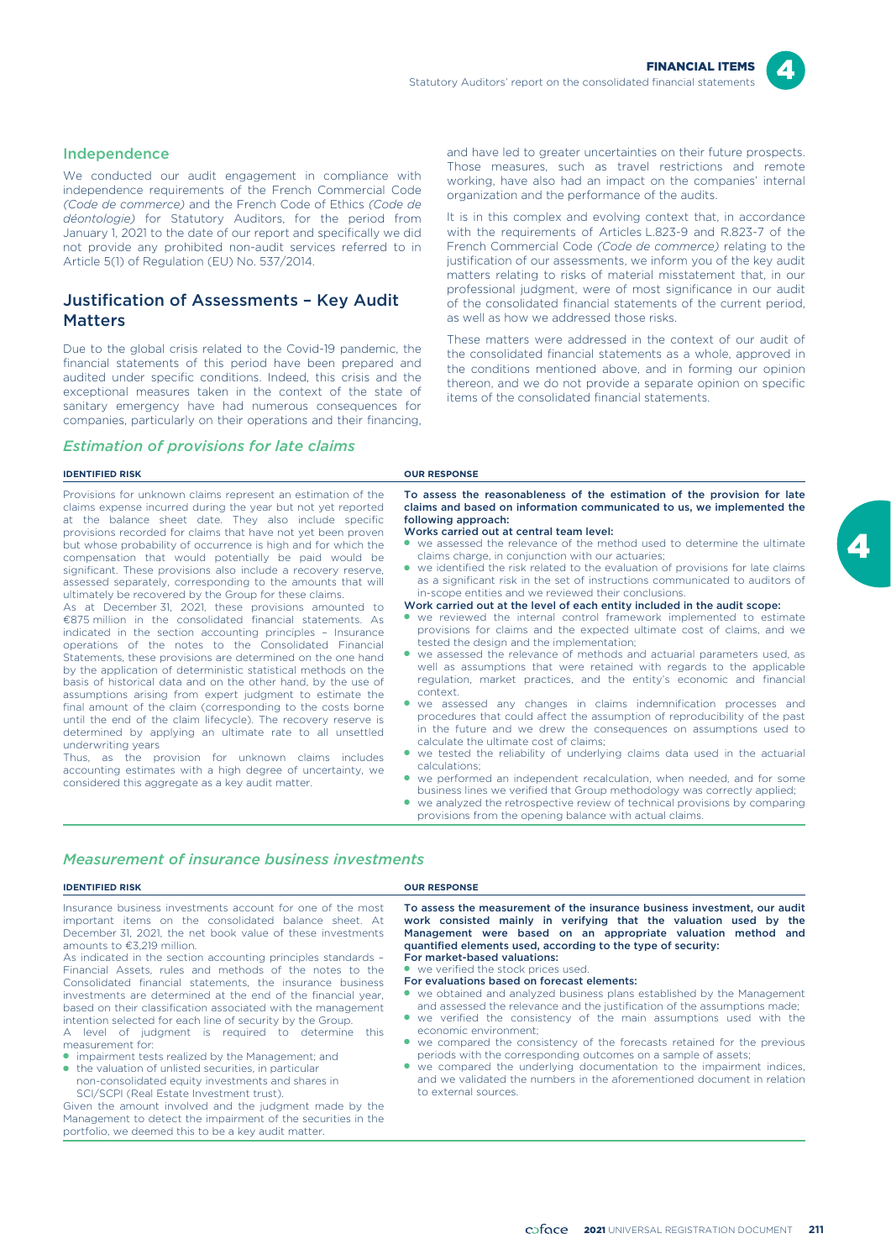

## Independence

We conducted our audit engagement in compliance with independence requirements of the French Commercial Code *(Code de commerce)* and the French Code of Ethics *(Code de déontologie)* for Statutory Auditors, for the period from January 1, 2021 to the date of our report and specifically we did not provide any prohibited non-audit services referred to in Article 5(1) of Regulation (EU) No. 537/2014.

# Justification of Assessments – Key Audit **Matters**

Due to the global crisis related to the Covid-19 pandemic, the financial statements of this period have been prepared and audited under specific conditions. Indeed, this crisis and the exceptional measures taken in the context of the state of sanitary emergency have had numerous consequences for companies, particularly on their operations and their financing,

### *Estimation of provisions for late claims*

and have led to greater uncertainties on their future prospects. Those measures, such as travel restrictions and remote working, have also had an impact on the companies' internal organization and the performance of the audits.

It is in this complex and evolving context that, in accordance with the requirements of Articles L.823-9 and R.823-7 of the French Commercial Code *(Code de commerce)* relating to the justification of our assessments, we inform you of the key audit matters relating to risks of material misstatement that, in our professional judgment, were of most significance in our audit of the consolidated financial statements of the current period, as well as how we addressed those risks.

These matters were addressed in the context of our audit of the consolidated financial statements as a whole, approved in the conditions mentioned above, and in forming our opinion thereon, and we do not provide a separate opinion on specific items of the consolidated financial statements.

| <b>IDENTIFIED RISK</b>                                                                                                                                                                                                                                                                                                                                                                                                                                                                                                                                                                                                                                                                                                                                                                                                                                                                                                                                                                                                                                                                                                                                                                                                                                                                                                                                                                                                                                                                    | <b>OUR RESPONSE</b>                                                                                                                                                                                                                                                                                                                                                                                                                                                                                                                                                                                                                                                                                                                                                                                                                                                                                                                                                                                                                                                                                                                                                                                                                                                                                                                                                                                                                                                                                                                                                                                                                                                                                                                                                  |
|-------------------------------------------------------------------------------------------------------------------------------------------------------------------------------------------------------------------------------------------------------------------------------------------------------------------------------------------------------------------------------------------------------------------------------------------------------------------------------------------------------------------------------------------------------------------------------------------------------------------------------------------------------------------------------------------------------------------------------------------------------------------------------------------------------------------------------------------------------------------------------------------------------------------------------------------------------------------------------------------------------------------------------------------------------------------------------------------------------------------------------------------------------------------------------------------------------------------------------------------------------------------------------------------------------------------------------------------------------------------------------------------------------------------------------------------------------------------------------------------|----------------------------------------------------------------------------------------------------------------------------------------------------------------------------------------------------------------------------------------------------------------------------------------------------------------------------------------------------------------------------------------------------------------------------------------------------------------------------------------------------------------------------------------------------------------------------------------------------------------------------------------------------------------------------------------------------------------------------------------------------------------------------------------------------------------------------------------------------------------------------------------------------------------------------------------------------------------------------------------------------------------------------------------------------------------------------------------------------------------------------------------------------------------------------------------------------------------------------------------------------------------------------------------------------------------------------------------------------------------------------------------------------------------------------------------------------------------------------------------------------------------------------------------------------------------------------------------------------------------------------------------------------------------------------------------------------------------------------------------------------------------------|
| Provisions for unknown claims represent an estimation of the<br>claims expense incurred during the year but not yet reported<br>at the balance sheet date. They also include specific<br>provisions recorded for claims that have not yet been proven<br>but whose probability of occurrence is high and for which the<br>compensation that would potentially be paid would be<br>significant. These provisions also include a recovery reserve.<br>assessed separately, corresponding to the amounts that will<br>ultimately be recovered by the Group for these claims.<br>As at December 31, 2021, these provisions amounted to<br>$\epsilon$ 875 million in the consolidated financial statements. As<br>indicated in the section accounting principles - Insurance<br>operations of the notes to the Consolidated Financial<br>Statements, these provisions are determined on the one hand<br>by the application of deterministic statistical methods on the<br>basis of historical data and on the other hand, by the use of<br>assumptions arising from expert judgment to estimate the<br>final amount of the claim (corresponding to the costs borne<br>until the end of the claim lifecycle). The recovery reserve is<br>determined by applying an ultimate rate to all unsettled<br>underwriting years<br>Thus, as the provision for unknown claims includes<br>accounting estimates with a high degree of uncertainty, we<br>considered this aggregate as a key audit matter. | To assess the reasonableness of the estimation of the provision for late<br>claims and based on information communicated to us, we implemented the<br>following approach:<br>Works carried out at central team level:<br>• we assessed the relevance of the method used to determine the ultimate<br>claims charge, in conjunction with our actuaries:<br>• we identified the risk related to the evaluation of provisions for late claims<br>as a significant risk in the set of instructions communicated to auditors of<br>in-scope entities and we reviewed their conclusions.<br>Work carried out at the level of each entity included in the audit scope:<br>• we reviewed the internal control framework implemented to estimate<br>provisions for claims and the expected ultimate cost of claims, and we<br>tested the design and the implementation;<br>we assessed the relevance of methods and actuarial parameters used, as<br>well as assumptions that were retained with regards to the applicable<br>regulation, market practices, and the entity's economic and financial<br>context.<br>we assessed any changes in claims indemnification processes and<br>procedures that could affect the assumption of reproducibility of the past<br>in the future and we drew the consequences on assumptions used to<br>calculate the ultimate cost of claims:<br>• we tested the reliability of underlying claims data used in the actuarial<br>calculations:<br>• we performed an independent recalculation, when needed, and for some<br>business lines we verified that Group methodology was correctly applied;<br>we analyzed the retrospective review of technical provisions by comparing<br>provisions from the opening balance with actual claims. |

## *Measurement of insurance business investments*

### **IDENTIFIED RISK OUR RESPONSE**

| Insurance business investments account for one of the most<br>important items on the consolidated balance sheet. At<br>December 31, 2021, the net book value of these investments<br>amounts to €3.219 million.<br>As indicated in the section accounting principles standards -<br>Financial Assets, rules and methods of the notes to the<br>Consolidated financial statements, the insurance business<br>investments are determined at the end of the financial year,<br>based on their classification associated with the management<br>intention selected for each line of security by the Group.<br>A level of judgment is required to determine this<br>measurement for:<br>• impairment tests realized by the Management; and<br>• the valuation of unlisted securities, in particular<br>non-consolidated equity investments and shares in<br>SCI/SCPI (Real Estate Investment trust).<br>Given the amount involved and the judgment made by the<br>Management to detect the impairment of the securities in the<br>portfolio, we deemed this to be a key audit matter. | To assess the measurement of the insurance business investment, our audit<br>work consisted mainly in verifying that the valuation used by the<br>Management were based on an appropriate valuation method and<br>quantified elements used, according to the type of security:<br>For market-based valuations:<br>• we verified the stock prices used.<br>For evaluations based on forecast elements:<br>• we obtained and analyzed business plans established by the Management<br>and assessed the relevance and the justification of the assumptions made;<br>• we verified the consistency of the main assumptions used with the<br>economic environment:<br>• we compared the consistency of the forecasts retained for the previous<br>periods with the corresponding outcomes on a sample of assets;<br>• we compared the underlying documentation to the impairment indices,<br>and we validated the numbers in the aforementioned document in relation<br>to external sources. |
|----------------------------------------------------------------------------------------------------------------------------------------------------------------------------------------------------------------------------------------------------------------------------------------------------------------------------------------------------------------------------------------------------------------------------------------------------------------------------------------------------------------------------------------------------------------------------------------------------------------------------------------------------------------------------------------------------------------------------------------------------------------------------------------------------------------------------------------------------------------------------------------------------------------------------------------------------------------------------------------------------------------------------------------------------------------------------------|-----------------------------------------------------------------------------------------------------------------------------------------------------------------------------------------------------------------------------------------------------------------------------------------------------------------------------------------------------------------------------------------------------------------------------------------------------------------------------------------------------------------------------------------------------------------------------------------------------------------------------------------------------------------------------------------------------------------------------------------------------------------------------------------------------------------------------------------------------------------------------------------------------------------------------------------------------------------------------------------|
|----------------------------------------------------------------------------------------------------------------------------------------------------------------------------------------------------------------------------------------------------------------------------------------------------------------------------------------------------------------------------------------------------------------------------------------------------------------------------------------------------------------------------------------------------------------------------------------------------------------------------------------------------------------------------------------------------------------------------------------------------------------------------------------------------------------------------------------------------------------------------------------------------------------------------------------------------------------------------------------------------------------------------------------------------------------------------------|-----------------------------------------------------------------------------------------------------------------------------------------------------------------------------------------------------------------------------------------------------------------------------------------------------------------------------------------------------------------------------------------------------------------------------------------------------------------------------------------------------------------------------------------------------------------------------------------------------------------------------------------------------------------------------------------------------------------------------------------------------------------------------------------------------------------------------------------------------------------------------------------------------------------------------------------------------------------------------------------|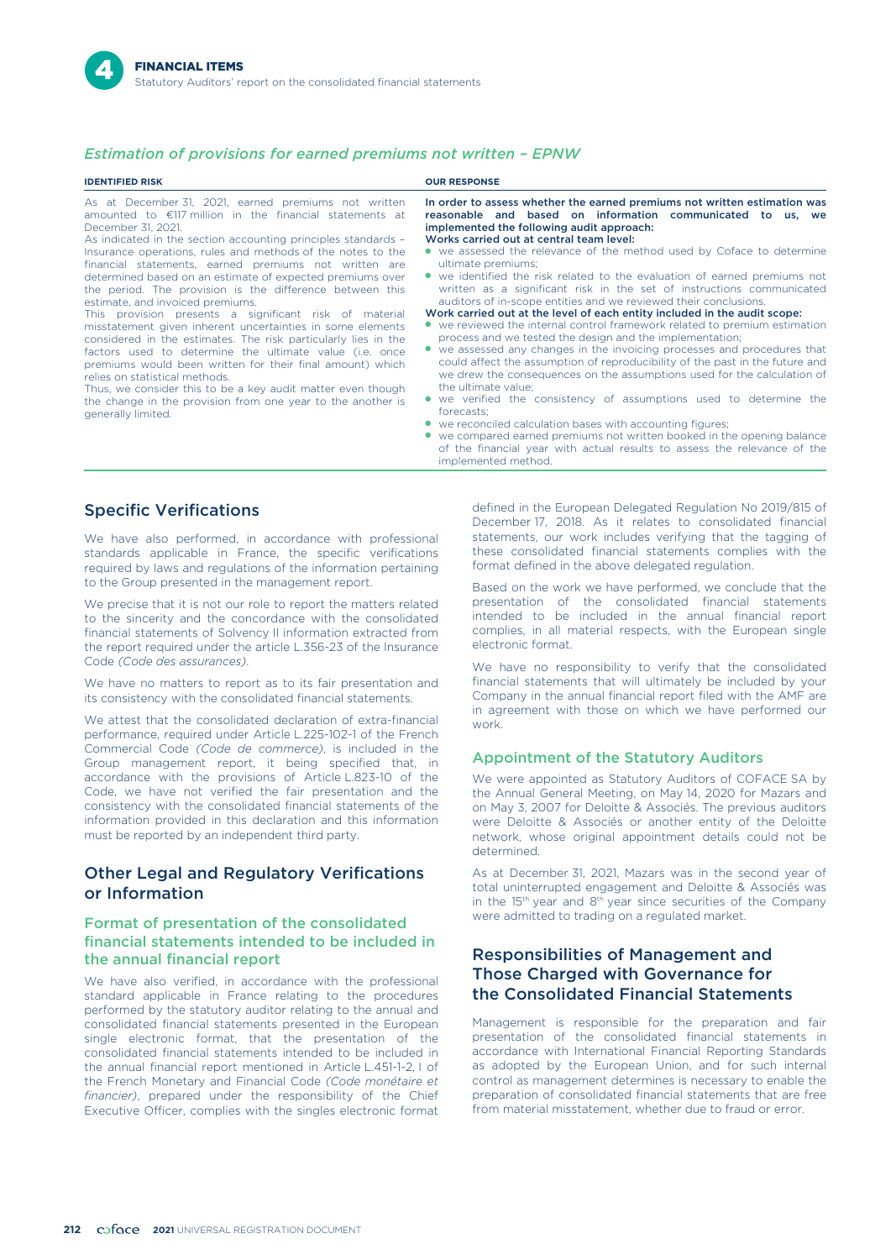# *Estimation of provisions for earned premiums not written – EPNW*

| <b>IDENTIFIED RISK</b>                                                                                                                                                                                                                                                                                                                                                                                                                                                                                                                                                                                                                                                                                                                                                                                                                                                                                                                                                                                        | <b>OUR RESPONSE</b>                                                                                                                                                                                                                                                                                                                                                                                                                                                                                                                                                                                                                                                                                                                                                                                                                                                                                                                                                                                                                                                                                                                                                                                                                                                                                                                                                          |
|---------------------------------------------------------------------------------------------------------------------------------------------------------------------------------------------------------------------------------------------------------------------------------------------------------------------------------------------------------------------------------------------------------------------------------------------------------------------------------------------------------------------------------------------------------------------------------------------------------------------------------------------------------------------------------------------------------------------------------------------------------------------------------------------------------------------------------------------------------------------------------------------------------------------------------------------------------------------------------------------------------------|------------------------------------------------------------------------------------------------------------------------------------------------------------------------------------------------------------------------------------------------------------------------------------------------------------------------------------------------------------------------------------------------------------------------------------------------------------------------------------------------------------------------------------------------------------------------------------------------------------------------------------------------------------------------------------------------------------------------------------------------------------------------------------------------------------------------------------------------------------------------------------------------------------------------------------------------------------------------------------------------------------------------------------------------------------------------------------------------------------------------------------------------------------------------------------------------------------------------------------------------------------------------------------------------------------------------------------------------------------------------------|
| As at December 31, 2021, earned premiums not written<br>amounted to $\epsilon$ 117 million in the financial statements at<br>December 31, 2021.<br>As indicated in the section accounting principles standards -<br>Insurance operations, rules and methods of the notes to the<br>financial statements, earned premiums not written are<br>determined based on an estimate of expected premiums over<br>the period. The provision is the difference between this<br>estimate, and invoiced premiums.<br>This provision presents a significant risk of material<br>misstatement given inherent uncertainties in some elements<br>considered in the estimates. The risk particularly lies in the<br>factors used to determine the ultimate value (i.e. once<br>premiums would been written for their final amount) which<br>relies on statistical methods.<br>Thus, we consider this to be a key audit matter even though<br>the change in the provision from one year to the another is<br>generally limited. | In order to assess whether the earned premiums not written estimation was<br>reasonable and based on information communicated to us, we<br>implemented the following audit approach:<br>Works carried out at central team level:<br>• we assessed the relevance of the method used by Coface to determine<br>ultimate premiums:<br>• we identified the risk related to the evaluation of earned premiums not<br>written as a significant risk in the set of instructions communicated<br>auditors of in-scope entities and we reviewed their conclusions.<br>Work carried out at the level of each entity included in the audit scope:<br>• we reviewed the internal control framework related to premium estimation<br>process and we tested the design and the implementation;<br>we assessed any changes in the invoicing processes and procedures that<br>could affect the assumption of reproducibility of the past in the future and<br>we drew the consequences on the assumptions used for the calculation of<br>the ultimate value:<br>• we verified the consistency of assumptions used to determine the<br>forecasts:<br>• we reconciled calculation bases with accounting figures;<br>• we compared earned premiums not written booked in the opening balance<br>of the financial year with actual results to assess the relevance of the<br>implemented method. |

# Specific Verifications

We have also performed, in accordance with professional standards applicable in France, the specific verifications required by laws and regulations of the information pertaining to the Group presented in the management report.

We precise that it is not our role to report the matters related to the sincerity and the concordance with the consolidated financial statements of Solvency II information extracted from the report required under the article L.356-23 of the Insurance Code *(Code des assurances)*.

We have no matters to report as to its fair presentation and its consistency with the consolidated financial statements.

We attest that the consolidated declaration of extra-financial performance, required under Article L.225-102-1 of the French Commercial Code *(Code de commerce)*, is included in the Group management report, it being specified that, in accordance with the provisions of Article L.823-10 of the Code, we have not verified the fair presentation and the consistency with the consolidated financial statements of the information provided in this declaration and this information must be reported by an independent third party.

# Other Legal and Regulatory Verifications or Information

## Format of presentation of the consolidated financial statements intended to be included in the annual financial report

We have also verified, in accordance with the professional standard applicable in France relating to the procedures performed by the statutory auditor relating to the annual and consolidated financial statements presented in the European single electronic format, that the presentation of the consolidated financial statements intended to be included in the annual financial report mentioned in Article L.451-1-2, I of the French Monetary and Financial Code *(Code monétaire et financier)*, prepared under the responsibility of the Chief Executive Officer, complies with the singles electronic format defined in the European Delegated Regulation No 2019/815 of December 17, 2018. As it relates to consolidated financial statements, our work includes verifying that the tagging of these consolidated financial statements complies with the format defined in the above delegated regulation.

Based on the work we have performed, we conclude that the presentation of the consolidated financial statements intended to be included in the annual financial report complies, in all material respects, with the European single electronic format.

We have no responsibility to verify that the consolidated financial statements that will ultimately be included by your Company in the annual financial report filed with the AMF are in agreement with those on which we have performed our work.

### Appointment of the Statutory Auditors

We were appointed as Statutory Auditors of COFACE SA by the Annual General Meeting, on May 14, 2020 for Mazars and on May 3, 2007 for Deloitte & Associés. The previous auditors were Deloitte & Associés or another entity of the Deloitte network, whose original appointment details could not be determined.

As at December 31, 2021, Mazars was in the second year of total uninterrupted engagement and Deloitte & Associés was in the 15<sup>th</sup> year and 8<sup>th</sup> year since securities of the Company were admitted to trading on a regulated market.

# Responsibilities of Management and Those Charged with Governance for the Consolidated Financial Statements

Management is responsible for the preparation and fair presentation of the consolidated financial statements in accordance with International Financial Reporting Standards as adopted by the European Union, and for such internal control as management determines is necessary to enable the preparation of consolidated financial statements that are free from material misstatement, whether due to fraud or error.